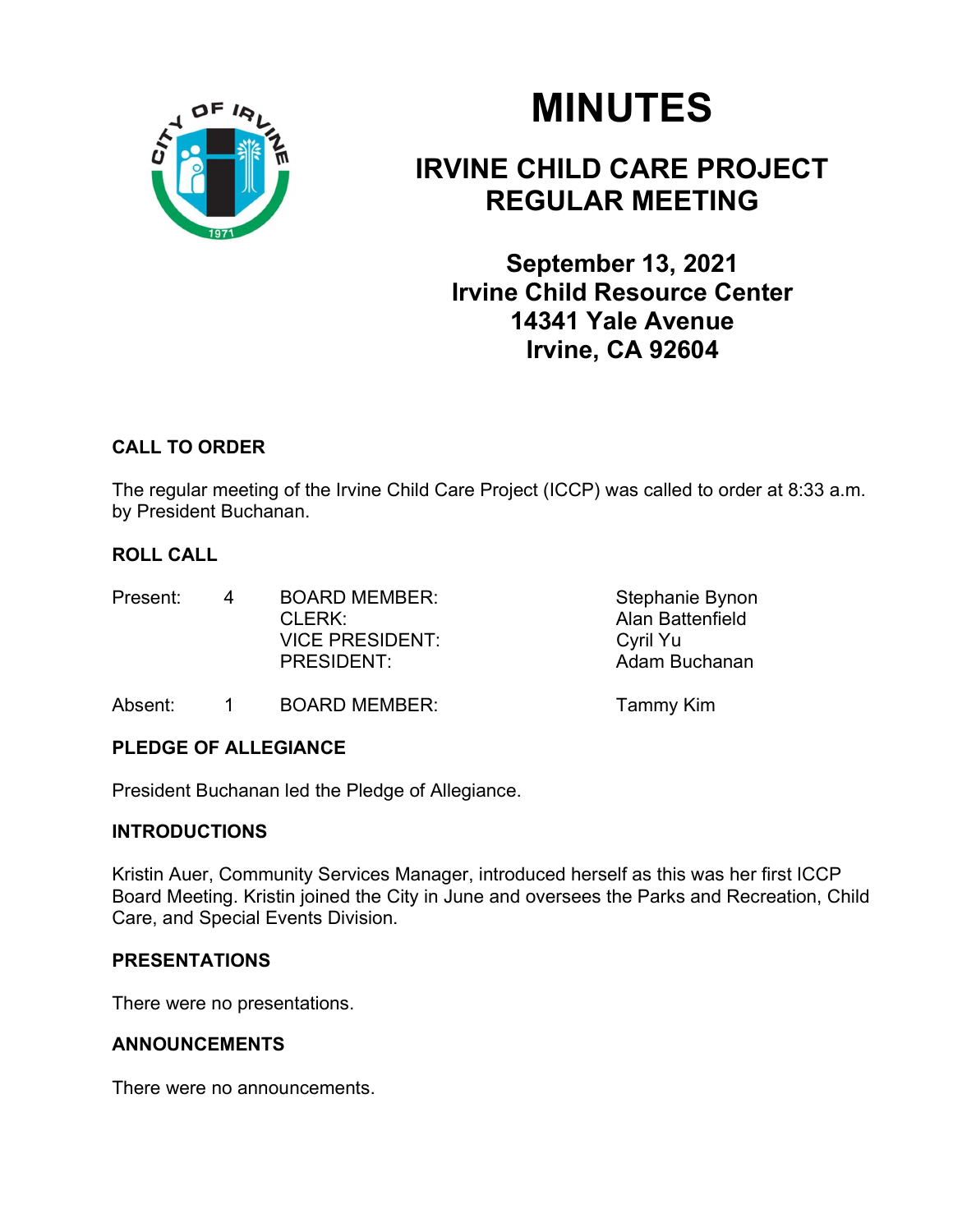

# MINUTES

# IRVINE CHILD CARE PROJECT REGULAR MEETING

September 13, 2021 Irvine Child Resource Center 14341 Yale Avenue Irvine, CA 92604

# CALL TO ORDER

The regular meeting of the Irvine Child Care Project (ICCP) was called to order at 8:33 a.m. by President Buchanan.

# ROLL CALL

| Present: | 4 | <b>BOARD MEMBER:</b>   | Stephanie Bynon  |
|----------|---|------------------------|------------------|
|          |   | $CI$ FRK $\cdot$       | Alan Battenfield |
|          |   | <b>VICE PRESIDENT:</b> | Cyril Yu         |
|          |   | PRESIDENT:             | Adam Buchanan    |
|          |   |                        |                  |

Absent: 1 BOARD MEMBER: Tammy Kim

# PLEDGE OF ALLEGIANCE

President Buchanan led the Pledge of Allegiance.

# INTRODUCTIONS

Kristin Auer, Community Services Manager, introduced herself as this was her first ICCP Board Meeting. Kristin joined the City in June and oversees the Parks and Recreation, Child Care, and Special Events Division.

# PRESENTATIONS

There were no presentations.

# ANNOUNCEMENTS

There were no announcements.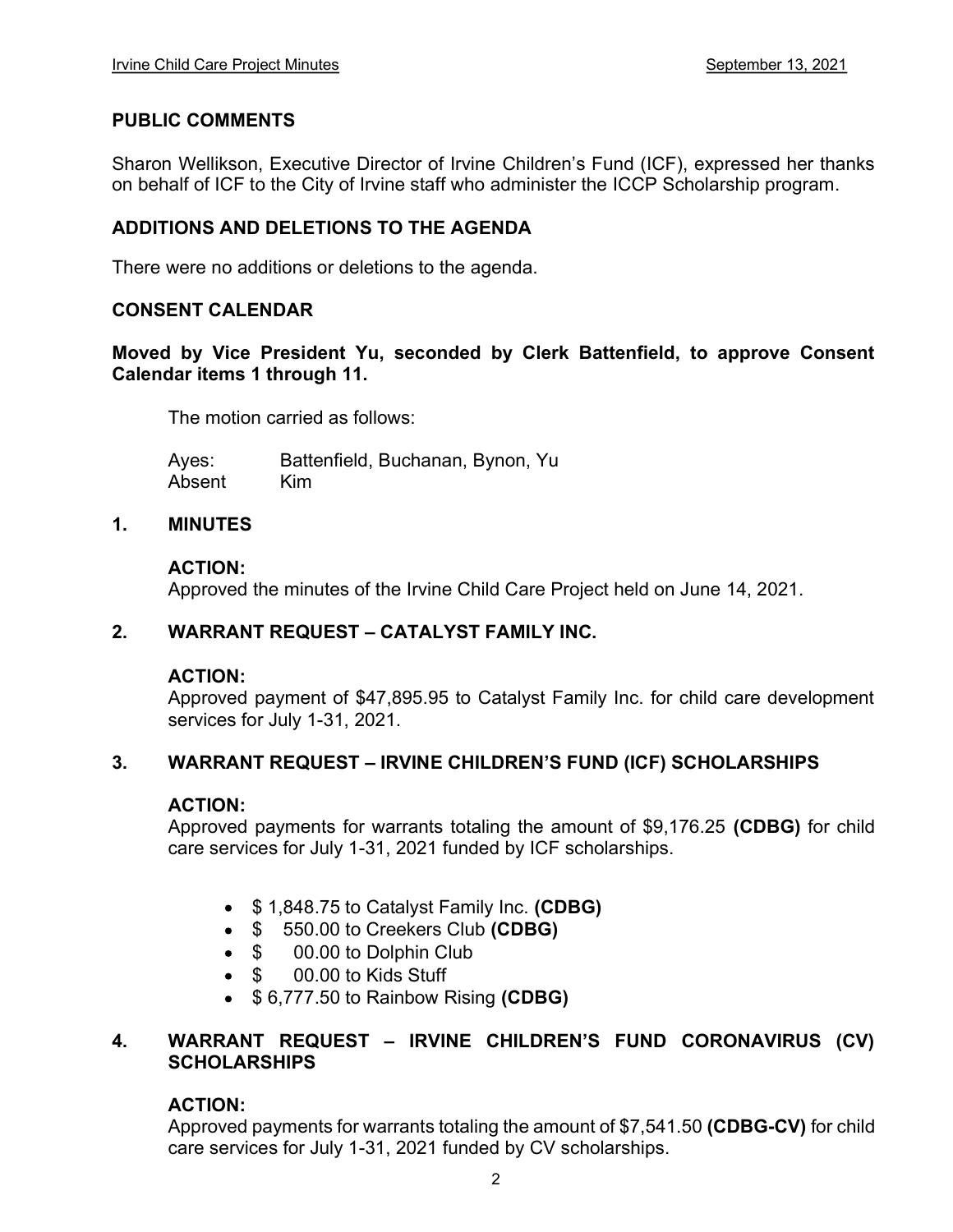#### PUBLIC COMMENTS

Sharon Wellikson, Executive Director of Irvine Children's Fund (ICF), expressed her thanks on behalf of ICF to the City of Irvine staff who administer the ICCP Scholarship program.

# ADDITIONS AND DELETIONS TO THE AGENDA

There were no additions or deletions to the agenda.

#### CONSENT CALENDAR

Moved by Vice President Yu, seconded by Clerk Battenfield, to approve Consent Calendar items 1 through 11.

The motion carried as follows:

Ayes: Battenfield, Buchanan, Bynon, Yu Absent Kim

#### 1. MINUTES

#### ACTION:

Approved the minutes of the Irvine Child Care Project held on June 14, 2021.

#### 2. WARRANT REQUEST - CATALYST FAMILY INC.

#### ACTION:

Approved payment of \$47,895.95 to Catalyst Family Inc. for child care development services for July 1-31, 2021.

#### 3. WARRANT REQUEST - IRVINE CHILDREN'S FUND (ICF) SCHOLARSHIPS

#### ACTION:

Approved payments for warrants totaling the amount of \$9,176.25 (CDBG) for child care services for July 1-31, 2021 funded by ICF scholarships.

- **\$ 1,848.75 to Catalyst Family Inc. (CDBG)**
- $\bullet$  \$ 550.00 to Creekers Club (CDBG)
- $\bullet$  \$ 00.00 to Dolphin Club
- \$ 00.00 to Kids Stuff
- $\bullet$  \$ 6,777.50 to Rainbow Rising (CDBG)

#### 4. WARRANT REQUEST - IRVINE CHILDREN'S FUND CORONAVIRUS (CV) **SCHOLARSHIPS**

#### ACTION:

Approved payments for warrants totaling the amount of \$7,541.50 (CDBG-CV) for child care services for July 1-31, 2021 funded by CV scholarships.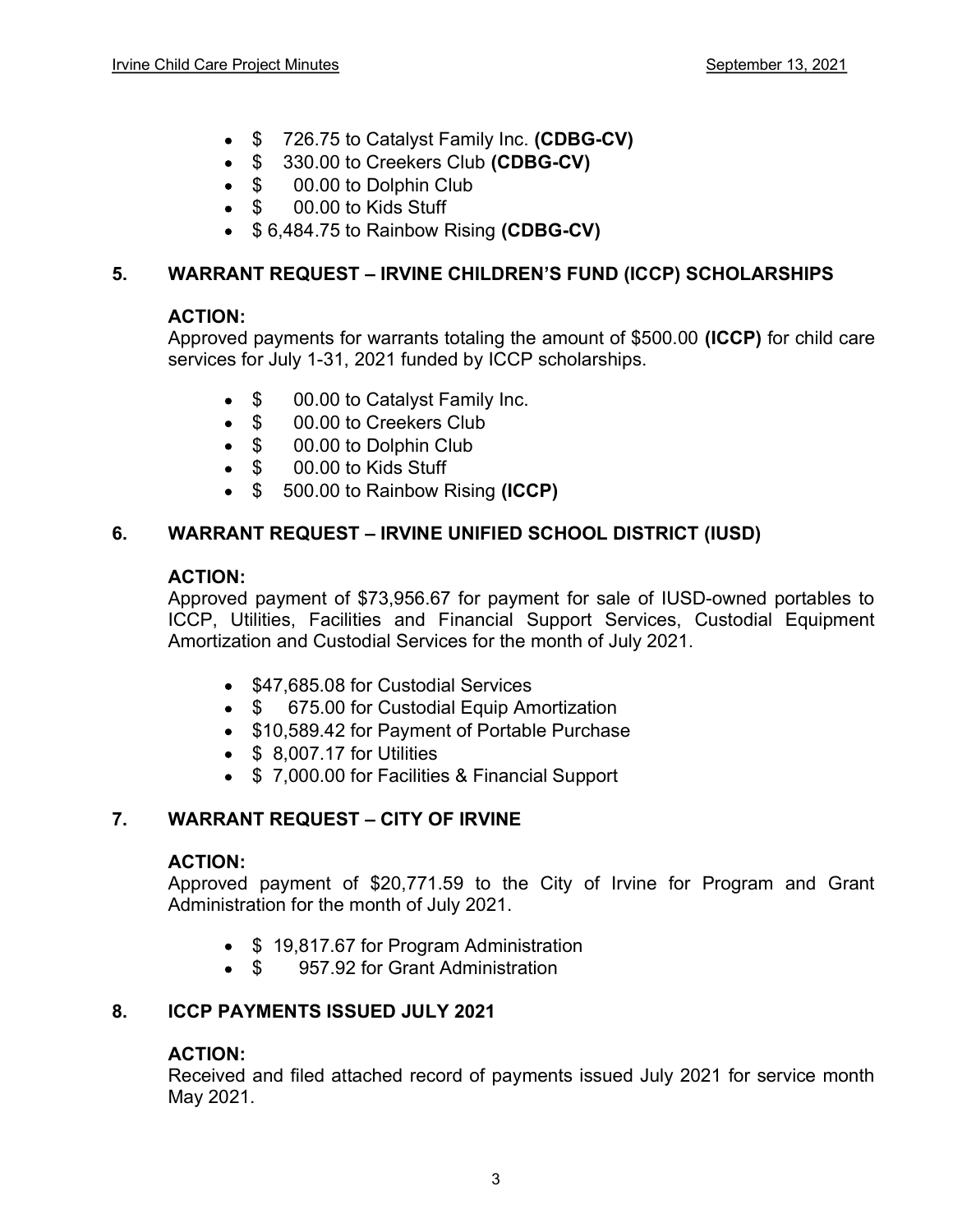- **\$** 726.75 to Catalyst Family Inc. (CDBG-CV)
- $\bullet$  \$ 330.00 to Creekers Club (CDBG-CV)
- $\bullet$  \$ 00.00 to Dolphin Club
- \$ 00.00 to Kids Stuff
- $\bullet$  \$ 6,484.75 to Rainbow Rising (CDBG-CV)

# 5. WARRANT REQUEST - IRVINE CHILDREN'S FUND (ICCP) SCHOLARSHIPS

# ACTION:

Approved payments for warrants totaling the amount of \$500.00 (ICCP) for child care services for July 1-31, 2021 funded by ICCP scholarships.

- \$ 00.00 to Catalyst Family Inc.
- \$ 00.00 to Creekers Club
- \$ 00.00 to Dolphin Club
- \$ 00.00 to Kids Stuff
- \$ 500.00 to Rainbow Rising (ICCP)

#### 6. WARRANT REQUEST – IRVINE UNIFIED SCHOOL DISTRICT (IUSD)

#### ACTION:

Approved payment of \$73,956.67 for payment for sale of IUSD-owned portables to ICCP, Utilities, Facilities and Financial Support Services, Custodial Equipment Amortization and Custodial Services for the month of July 2021.

- \$47,685.08 for Custodial Services
- \$ 675.00 for Custodial Equip Amortization
- \$10,589.42 for Payment of Portable Purchase
- **\$ 8,007.17 for Utilities**
- \$7,000.00 for Facilities & Financial Support

# 7. WARRANT REQUEST - CITY OF IRVINE

#### ACTION:

Approved payment of \$20,771.59 to the City of Irvine for Program and Grant Administration for the month of July 2021.

- \$19,817.67 for Program Administration
- \$ 957.92 for Grant Administration

# 8. ICCP PAYMENTS ISSUED JULY 2021

#### ACTION:

Received and filed attached record of payments issued July 2021 for service month May 2021.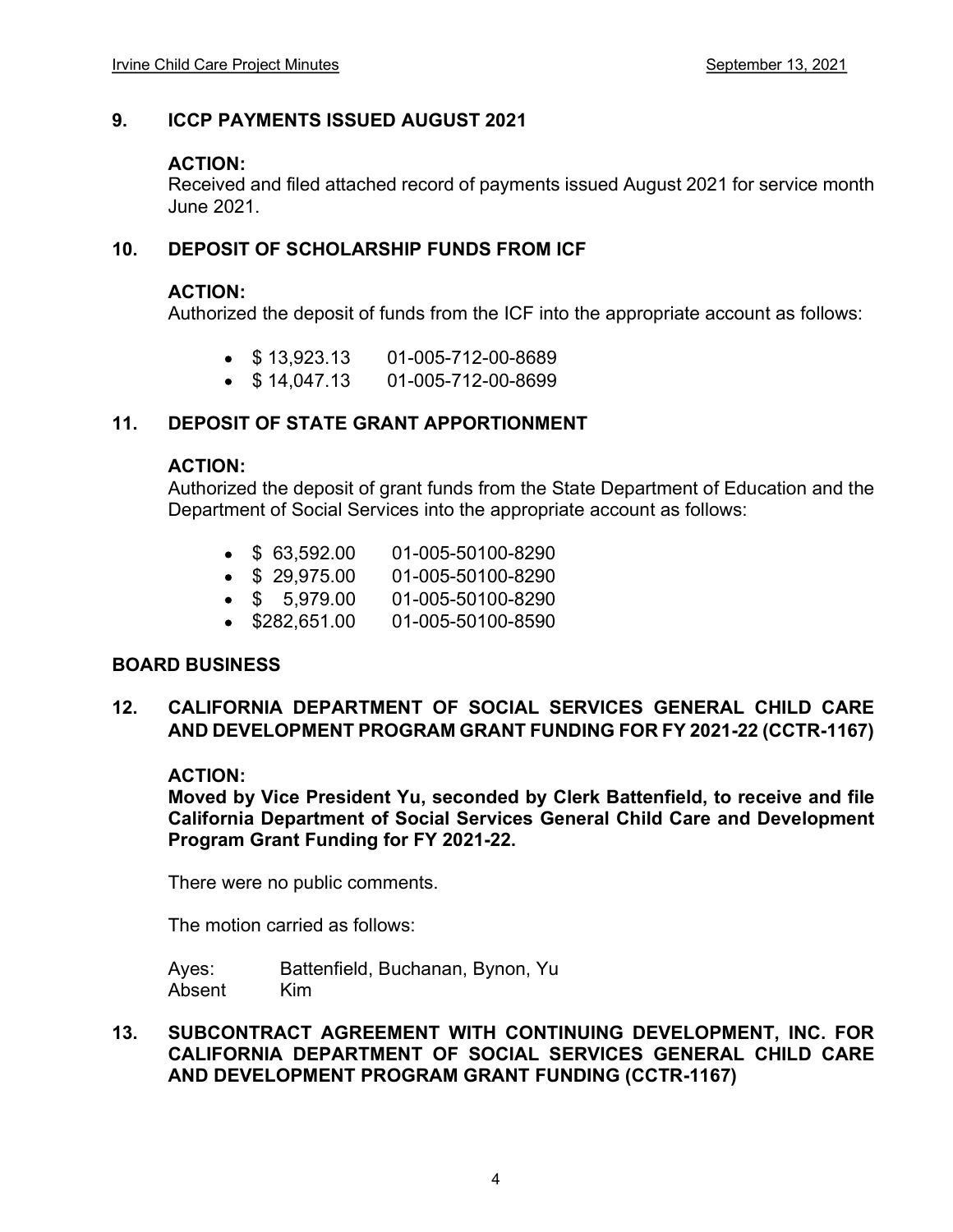# 9. ICCP PAYMENTS ISSUED AUGUST 2021

#### ACTION:

Received and filed attached record of payments issued August 2021 for service month June 2021.

# 10. DEPOSIT OF SCHOLARSHIP FUNDS FROM ICF

#### ACTION:

Authorized the deposit of funds from the ICF into the appropriate account as follows:

- $\bullet$  \$13,923.13 01-005-712-00-8689
- $\bullet$  \$14,047.13 01-005-712-00-8699

#### 11. DEPOSIT OF STATE GRANT APPORTIONMENT

#### ACTION:

Authorized the deposit of grant funds from the State Department of Education and the Department of Social Services into the appropriate account as follows:

- $\bullet$  \$ 63.592.00 01-005-50100-8290
- \$ 29,975.00 01-005-50100-8290
- \$ 5,979.00 01-005-50100-8290
- **\$282,651.00 01-005-50100-8590**

#### BOARD BUSINESS

# 12. CALIFORNIA DEPARTMENT OF SOCIAL SERVICES GENERAL CHILD CARE AND DEVELOPMENT PROGRAM GRANT FUNDING FOR FY 2021-22 (CCTR-1167)

#### ACTION:

Moved by Vice President Yu, seconded by Clerk Battenfield, to receive and file California Department of Social Services General Child Care and Development Program Grant Funding for FY 2021-22.

There were no public comments.

The motion carried as follows:

Ayes: Battenfield, Buchanan, Bynon, Yu Absent Kim

13. SUBCONTRACT AGREEMENT WITH CONTINUING DEVELOPMENT, INC. FOR CALIFORNIA DEPARTMENT OF SOCIAL SERVICES GENERAL CHILD CARE AND DEVELOPMENT PROGRAM GRANT FUNDING (CCTR-1167)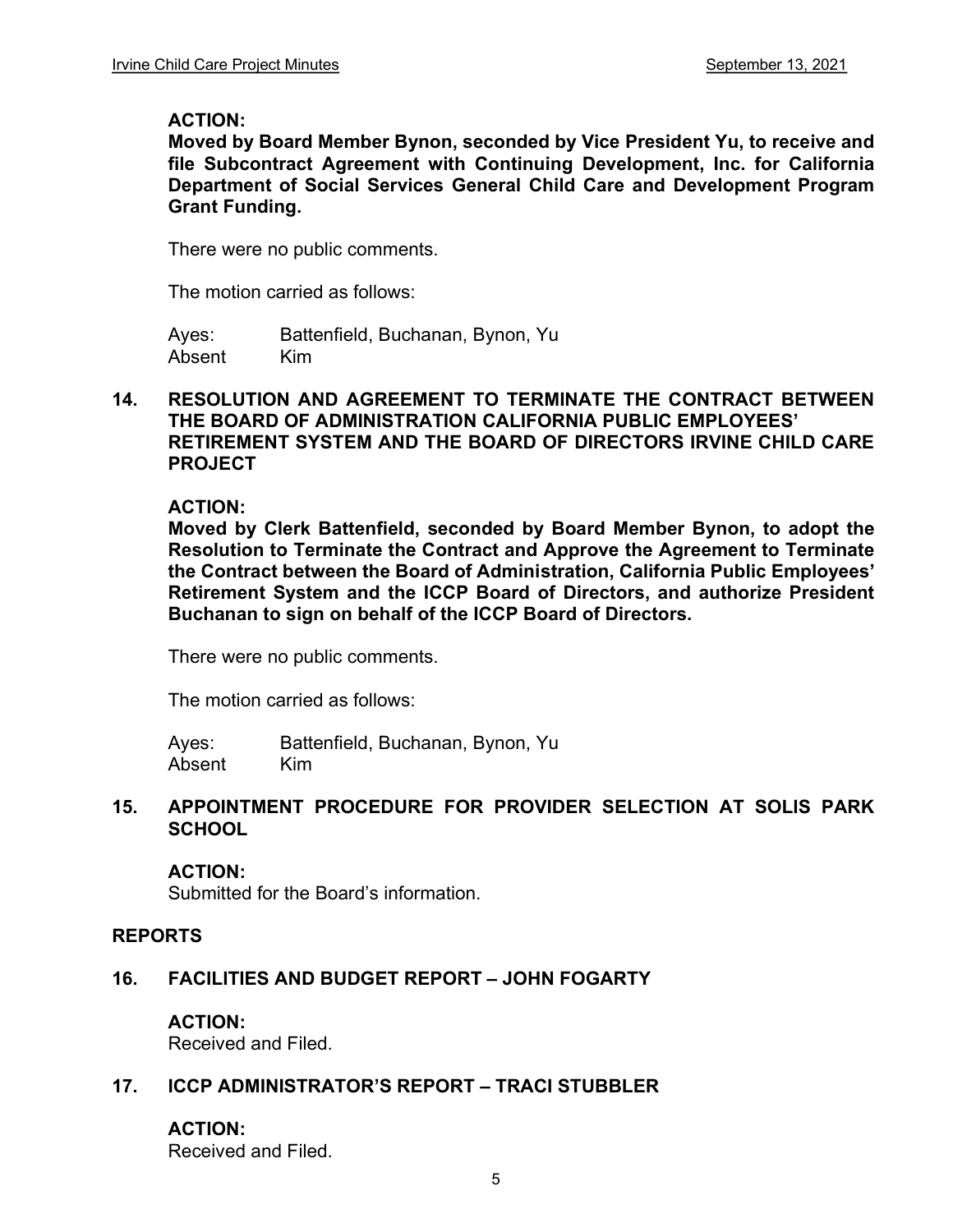#### ACTION:

Moved by Board Member Bynon, seconded by Vice President Yu, to receive and file Subcontract Agreement with Continuing Development, Inc. for California Department of Social Services General Child Care and Development Program Grant Funding.

There were no public comments.

The motion carried as follows:

Ayes: Battenfield, Buchanan, Bynon, Yu Absent Kim

#### 14. RESOLUTION AND AGREEMENT TO TERMINATE THE CONTRACT BETWEEN THE BOARD OF ADMINISTRATION CALIFORNIA PUBLIC EMPLOYEES RETIREMENT SYSTEM AND THE BOARD OF DIRECTORS IRVINE CHILD CARE PROJECT

#### ACTION:

Moved by Clerk Battenfield, seconded by Board Member Bynon, to adopt the Resolution to Terminate the Contract and Approve the Agreement to Terminate the Contract between the Board of Administration, California Public Employees Retirement System and the ICCP Board of Directors, and authorize President Buchanan to sign on behalf of the ICCP Board of Directors.

There were no public comments.

The motion carried as follows:

Ayes: Battenfield, Buchanan, Bynon, Yu Absent Kim

#### 15. APPOINTMENT PROCEDURE FOR PROVIDER SELECTION AT SOLIS PARK **SCHOOL**

#### ACTION:

Submitted for the Board's information.

#### REPORTS

#### 16. FACILITIES AND BUDGET REPORT - JOHN FOGARTY

#### ACTION:

Received and Filed.

#### 17. ICCP ADMINISTRATOR'S REPORT - TRACI STUBBLER

#### ACTION:

Received and Filed.